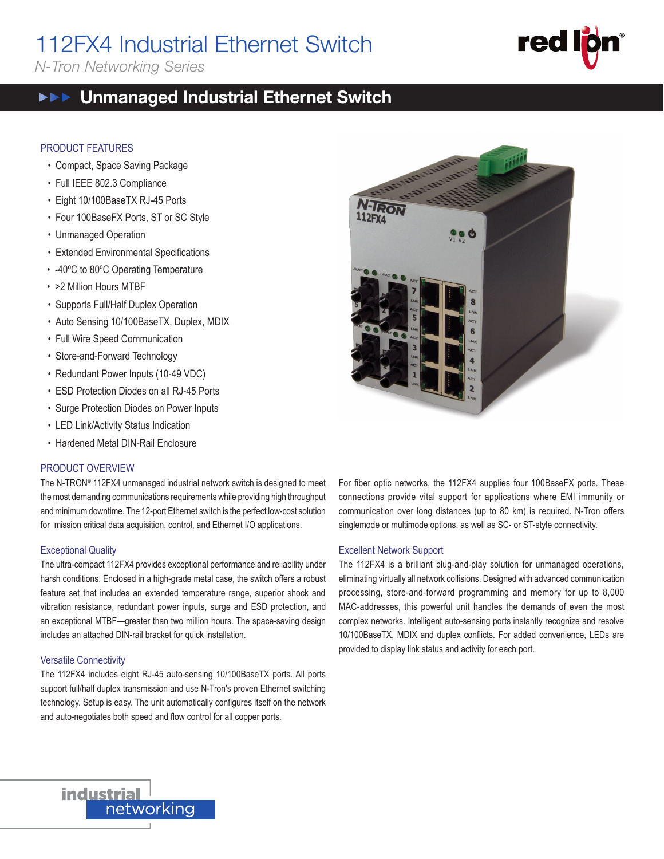# 112FX4 Industrial Ethernet Switch

*N-Tron Networking Series*

# **red**

112FX<br>112FX4 Harrison (112FX4 Harrison)<br>112FX Harrison (112FX Harrison)

#### Unmanaged Industrial Ethernet Switch  $\blacktriangleright \blacktriangleright \blacktriangleright$

#### PRODUCT FEATURES

- Compact, Space Saving Package
- Full IEEE 802.3 Compliance
- Eight 10/100BaseTX RJ-45 Ports
- Four 100BaseFX Ports, ST or SC Style
- Unmanaged Operation
- Extended Environmental Specifications
- -40ºC to 80ºC Operating Temperature
- >2 Million Hours MTBF
- Supports Full/Half Duplex Operation
- Auto Sensing 10/100BaseTX, Duplex, MDIX
- Full Wire Speed Communication
- Store-and-Forward Technology
- Redundant Power Inputs (10-49 VDC)
- ESD Protection Diodes on all RJ-45 Ports
- Surge Protection Diodes on Power Inputs
- LED Link/Activity Status Indication
- Hardened Metal DIN-Rail Enclosure

#### PRODUCT OVERVIEW

The N-TRON® 112FX4 unmanaged industrial network switch is designed to meet the most demanding communications requirements while providing high throughput and minimum downtime. The 12-port Ethernet switch is the perfect low-cost solution for mission critical data acquisition, control, and Ethernet I/O applications.

#### Exceptional Quality

The ultra-compact 112FX4 provides exceptional performance and reliability under harsh conditions. Enclosed in a high-grade metal case, the switch offers a robust feature set that includes an extended temperature range, superior shock and vibration resistance, redundant power inputs, surge and ESD protection, and an exceptional MTBF—greater than two million hours. The space-saving design includes an attached DIN-rail bracket for quick installation.

#### Versatile Connectivity

The 112FX4 includes eight RJ-45 auto-sensing 10/100BaseTX ports. All ports support full/half duplex transmission and use N-Tron's proven Ethernet switching technology. Setup is easy. The unit automatically configures itself on the network and auto-negotiates both speed and flow control for all copper ports.



For fiber optic networks, the 112FX4 supplies four 100BaseFX ports. These connections provide vital support for applications where EMI immunity or communication over long distances (up to 80 km) is required. N-Tron offers singlemode or multimode options, as well as SC- or ST-style connectivity.

#### Excellent Network Support

The 112FX4 is a brilliant plug-and-play solution for unmanaged operations, eliminating virtually all network collisions. Designed with advanced communication processing, store-and-forward programming and memory for up to 8,000 MAC-addresses, this powerful unit handles the demands of even the most complex networks. Intelligent auto-sensing ports instantly recognize and resolve 10/100BaseTX, MDIX and duplex conflicts. For added convenience, LEDs are provided to display link status and activity for each port.

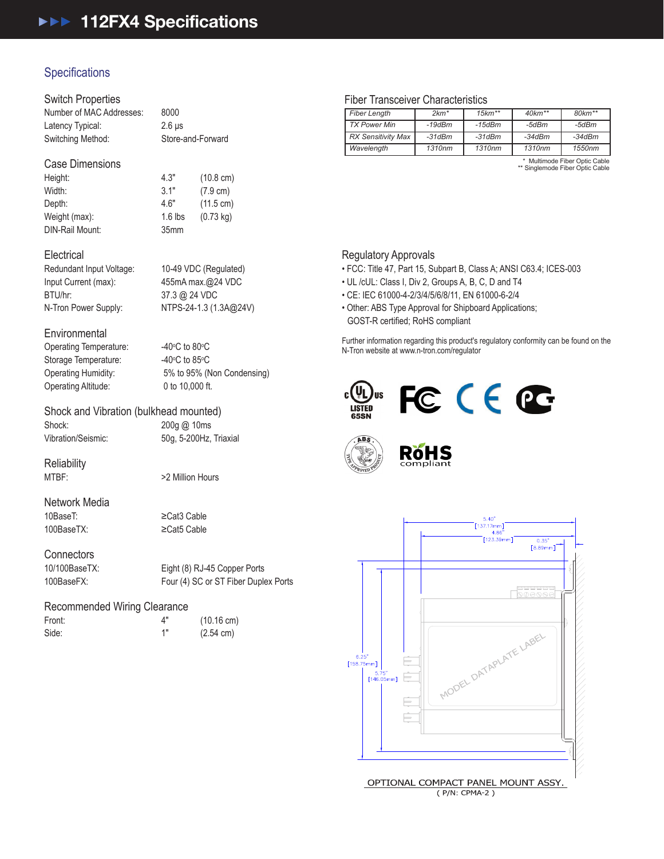# **Specifications**

#### Switch Properties

Number of MAC Addresses: 8000 Latency Typical: 2.6 μs Switching Method: Store-and-Forward

#### Case Dimensions

Height: 4.3" (10.8 cm) Width: 3.1" (7.9 cm) Depth: 4.6" (11.5 cm) Weight (max): 1.6 lbs (0.73 kg) DIN-Rail Mount: 35mm

#### **Electrical**

Redundant Input Voltage: 10-49 VDC (Regulated) Input Current (max): 455mA max.@24 VDC BTU/hr: 37.3 @ 24 VDC

N-Tron Power Supply: NTPS-24-1.3 (1.3A@24V)

#### **Environmental**

Operating Temperature: Storage Temperature: Operating Altitude: 0 to 10,000 ft.

 $C$  to 80 $\degree$ C  $C$  to 85 $\degree$ C Operating Humidity: 5% to 95% (Non Condensing)

## Shock and Vibration (bulkhead mounted)

Shock: 200g @ 10ms Vibration/Seismic: 50g, 5-200Hz, Triaxial

Reliability<br>MTBF:

>2 Million Hours

# Network Media

10BaseT: ≥Cat3 Cable 100BaseTX: ≥Cat5 Cable

**Connectors** 

10/100BaseTX: Eight (8) RJ-45 Copper Ports 100BaseFX: Four (4) SC or ST Fiber Duplex Ports

#### Recommended Wiring Clearance

| Front: |  |  |
|--------|--|--|
| Side:  |  |  |

4" (10.16 cm) 1" (2.54 cm)

#### Fiber Transceiver Characteristics

| <b>Fiber Length</b>       | $2km*$   | $15km**$ | $40km**$ | $80 km**$ |
|---------------------------|----------|----------|----------|-----------|
| <b>TX Power Min</b>       | $-19dBm$ | $-15dBm$ | -5dBm    | -5dBm     |
| <b>RX Sensitivity Max</b> | $-31dBm$ | $-31dBm$ | $-34dBm$ | $-34dBm$  |
| Wavelength                | 1310nm   | 1310nm   | 1310nm   | 1550nm    |
|                           |          |          |          | .         |

\* Multimode Fiber Optic Cable \*\* Singlemode Fiber Optic Cable

#### Regulatory Approvals

- FCC: Title 47, Part 15, Subpart B, Class A; ANSI C63.4; ICES-003
- UL /cUL: Class I, Div 2, Groups A, B, C, D and T4
- CE: IEC 61000-4-2/3/4/5/6/8/11, EN 61000-6-2/4
- Other: ABS Type Approval for Shipboard Applications; GOST-R certified; RoHS compliant

Further information regarding this product's regulatory conformity can be found on the N-Tron website at www.n-tron.com/regulator